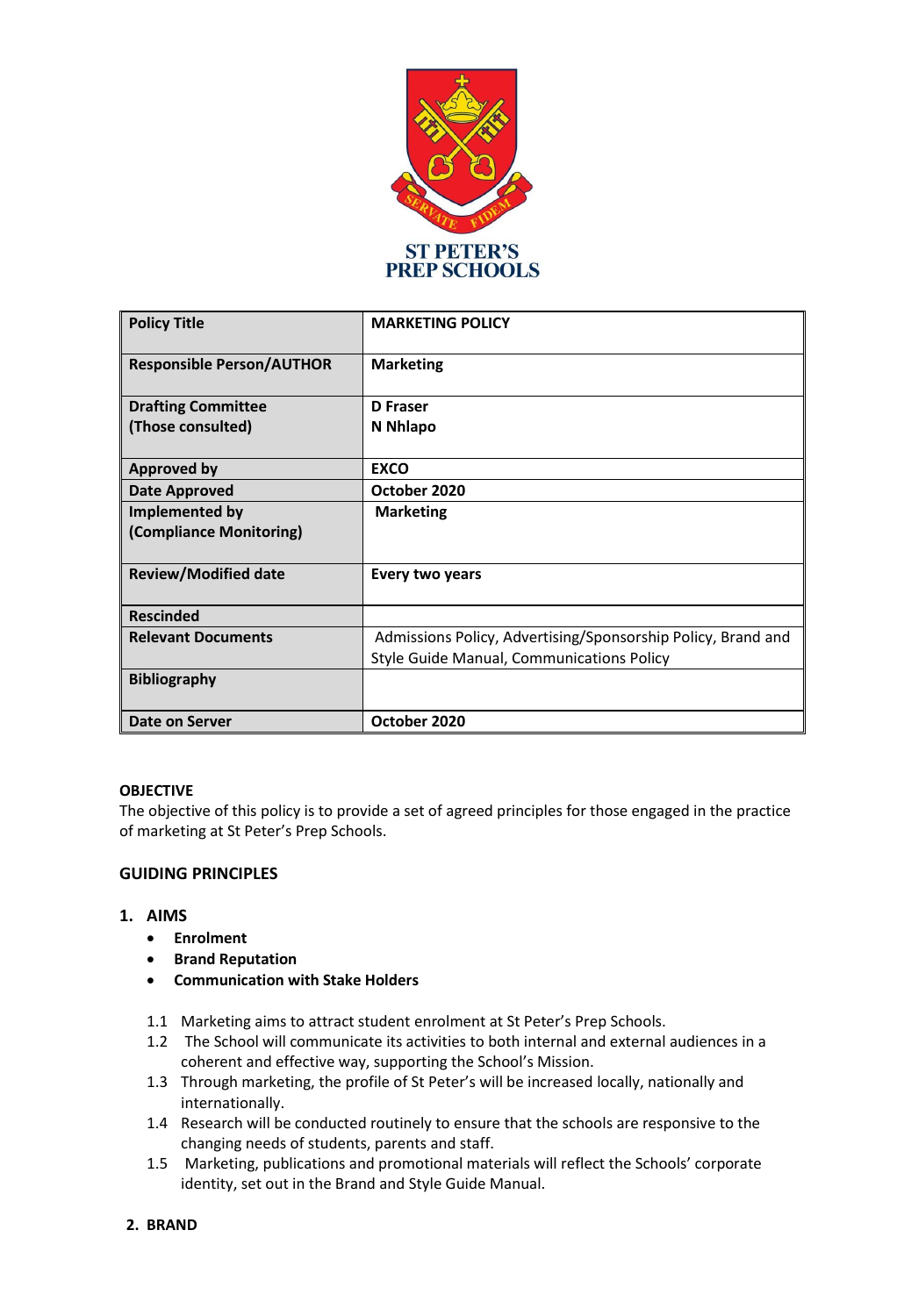

| <b>Policy Title</b>                       | <b>MARKETING POLICY</b>                                      |
|-------------------------------------------|--------------------------------------------------------------|
| <b>Responsible Person/AUTHOR</b>          | <b>Marketing</b>                                             |
| <b>Drafting Committee</b>                 | D Fraser                                                     |
| (Those consulted)                         | N Nhlapo                                                     |
| <b>Approved by</b>                        | <b>EXCO</b>                                                  |
| <b>Date Approved</b>                      | October 2020                                                 |
| Implemented by<br>(Compliance Monitoring) | <b>Marketing</b>                                             |
| <b>Review/Modified date</b>               | Every two years                                              |
| <b>Rescinded</b>                          |                                                              |
| <b>Relevant Documents</b>                 | Admissions Policy, Advertising/Sponsorship Policy, Brand and |
|                                           | <b>Style Guide Manual, Communications Policy</b>             |
| <b>Bibliography</b>                       |                                                              |
| Date on Server                            | October 2020                                                 |

## **OBJECTIVE**

The objective of this policy is to provide a set of agreed principles for those engaged in the practice of marketing at St Peter's Prep Schools.

## **GUIDING PRINCIPLES**

## **1. AIMS**

- **Enrolment**
- **•** Brand Reputation
- **Communication with Stake Holders**
- 1.1 Marketing aims to attract student enrolment at St Peter's Prep Schools.
- 1.2 The School will communicate its activities to both internal and external audiences in a coherent and effective way, supporting the School's Mission.
- 1.3 Through marketing, the profile of St Peter's will be increased locally, nationally and internationally.
- 1.4 Research will be conducted routinely to ensure that the schools are responsive to the changing needs of students, parents and staff.
- 1.5 Marketing, publications and promotional materials will reflect the Schools' corporate identity, set out in the Brand and Style Guide Manual.

**2. BRAND**